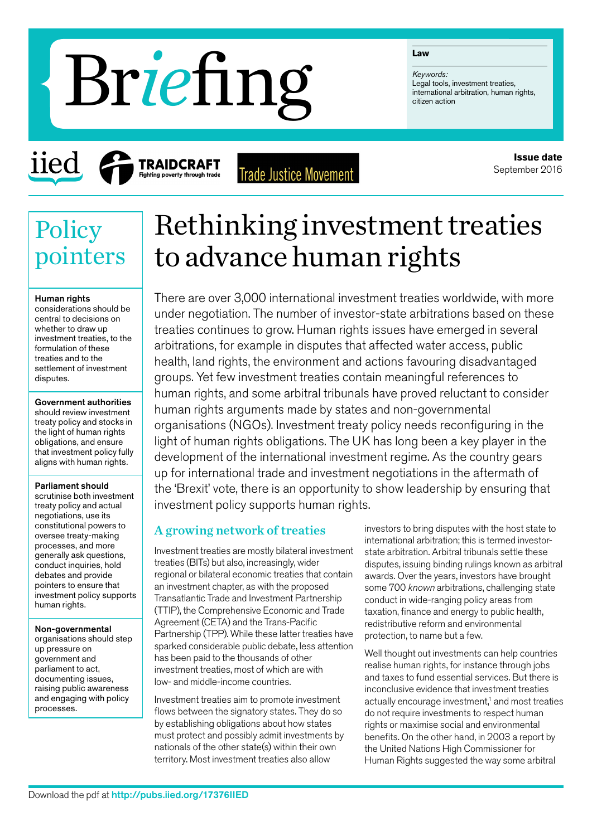#### **Law**

*Keywords:* Legal tools, investment treaties,<br>international arbitration, human rights,

# **international arbitration Brief Express (Seguridos, international arbitrational arbitrational arbitrational arbitrational arbitrational arbitration and**  $\sum_{\text{criterion}}$

iie

**Trade Justice Movement** 

**Issue date** September 2016

## **Policy** pointers

#### Human rights

considerations should be central to decisions on whether to draw up investment treaties, to the formulation of these treaties and to the settlement of investment disputes.

Government authorities should review investment treaty policy and stocks in the light of human rights obligations, and ensure that investment policy fully aligns with human rights.

#### Parliament should

scrutinise both investment treaty policy and actual negotiations, use its constitutional powers to oversee treaty-making processes, and more generally ask questions, conduct inquiries, hold debates and provide pointers to ensure that investment policy supports human rights.

Non-governmental organisations should step up pressure on government and parliament to act, documenting issues, raising public awareness

and engaging with policy processes.

Rethinking investment treaties to advance human rights

There are over 3,000 international investment treaties worldwide, with more under negotiation. The number of investor-state arbitrations based on these treaties continues to grow. Human rights issues have emerged in several arbitrations, for example in disputes that affected water access, public health, land rights, the environment and actions favouring disadvantaged groups. Yet few investment treaties contain meaningful references to human rights, and some arbitral tribunals have proved reluctant to consider human rights arguments made by states and non-governmental organisations (NGOs). Investment treaty policy needs reconfiguring in the light of human rights obligations. The UK has long been a key player in the development of the international investment regime. As the country gears up for international trade and investment negotiations in the aftermath of the 'Brexit' vote, there is an opportunity to show leadership by ensuring that investment policy supports human rights.

#### A growing network of treaties

Investment treaties are mostly bilateral investment treaties (BITs) but also, increasingly, wider regional or bilateral economic treaties that contain an investment chapter, as with the proposed Transatlantic Trade and Investment Partnership (TTIP), the Comprehensive Economic and Trade Agreement (CETA) and the Trans-Pacific Partnership (TPP). While these latter treaties have sparked considerable public debate, less attention has been paid to the thousands of other investment treaties, most of which are with low- and middle-income countries.

Investment treaties aim to promote investment flows between the signatory states. They do so by establishing obligations about how states must protect and possibly admit investments by nationals of the other state(s) within their own territory. Most investment treaties also allow

investors to bring disputes with the host state to international arbitration; this is termed investorstate arbitration. Arbitral tribunals settle these disputes, issuing binding rulings known as arbitral awards. Over the years, investors have brought some 700 *known* arbitrations, challenging state conduct in wide-ranging policy areas from taxation, finance and energy to public health, redistributive reform and environmental protection, to name but a few.

Well thought out investments can help countries realise human rights, for instance through jobs and taxes to fund essential services. But there is inconclusive evidence that investment treaties actually encourage investment,<sup>1</sup> and most treaties do not require investments to respect human rights or maximise social and environmental benefits. On the other hand, in 2003 a report by the United Nations High Commissioner for Human Rights suggested the way some arbitral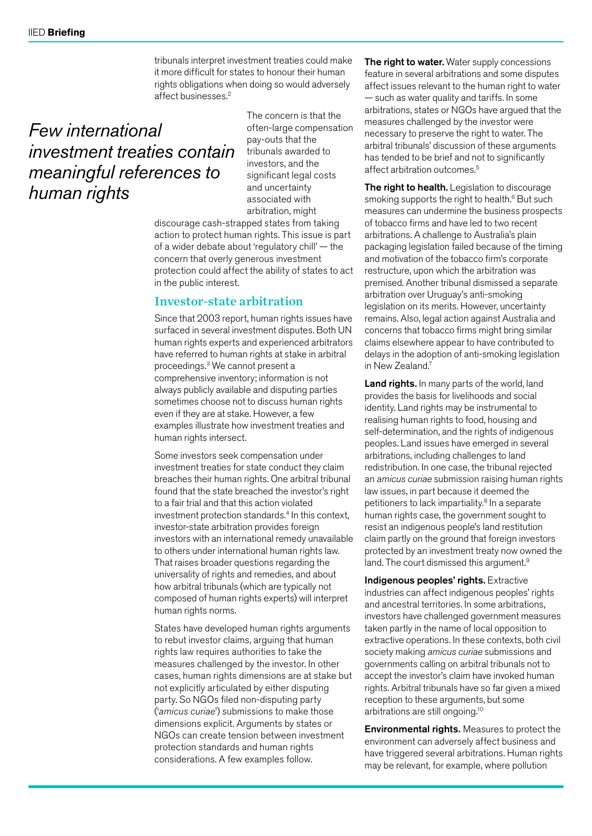tribunals interpret investment treaties could make it more difficult for states to honour their human rights obligations when doing so would adversely affect businesses.2

### *Few international investment treaties contain meaningful references to human rights*

The concern is that the often-large compensation pay-outs that the tribunals awarded to investors, and the significant legal costs and uncertainty associated with arbitration, might

discourage cash-strapped states from taking action to protect human rights. This issue is part of a wider debate about 'regulatory chill' — the concern that overly generous investment protection could affect the ability of states to act in the public interest.

#### Investor-state arbitration

Since that 2003 report, human rights issues have surfaced in several investment disputes. Both UN human rights experts and experienced arbitrators have referred to human rights at stake in arbitral proceedings.3 We cannot present a comprehensive inventory; information is not always publicly available and disputing parties sometimes choose not to discuss human rights even if they are at stake. However, a few examples illustrate how investment treaties and human rights intersect.

Some investors seek compensation under investment treaties for state conduct they claim breaches their human rights. One arbitral tribunal found that the state breached the investor's right to a fair trial and that this action violated investment protection standards.<sup>4</sup> In this context, investor-state arbitration provides foreign investors with an international remedy unavailable to others under international human rights law. That raises broader questions regarding the universality of rights and remedies, and about how arbitral tribunals (which are typically not composed of human rights experts) will interpret human rights norms.

States have developed human rights arguments to rebut investor claims, arguing that human rights law requires authorities to take the measures challenged by the investor. In other cases, human rights dimensions are at stake but not explicitly articulated by either disputing party. So NGOs filed non-disputing party ('*amicus curiae*') submissions to make those dimensions explicit. Arguments by states or NGOs can create tension between investment protection standards and human rights considerations. A few examples follow.

The right to water. Water supply concessions feature in several arbitrations and some disputes affect issues relevant to the human right to water — such as water quality and tariffs. In some arbitrations, states or NGOs have argued that the measures challenged by the investor were necessary to preserve the right to water. The arbitral tribunals' discussion of these arguments has tended to be brief and not to significantly affect arbitration outcomes.<sup>5</sup>

The right to health. Legislation to discourage smoking supports the right to health.<sup>6</sup> But such measures can undermine the business prospects of tobacco firms and have led to two recent arbitrations. A challenge to Australia's plain packaging legislation failed because of the timing and motivation of the tobacco firm's corporate restructure, upon which the arbitration was premised. Another tribunal dismissed a separate arbitration over Uruguay's anti-smoking legislation on its merits. However, uncertainty remains. Also, legal action against Australia and concerns that tobacco firms might bring similar claims elsewhere appear to have contributed to delays in the adoption of anti-smoking legislation in New Zealand.7

Land rights. In many parts of the world, land provides the basis for livelihoods and social identity. Land rights may be instrumental to realising human rights to food, housing and self-determination, and the rights of indigenous peoples. Land issues have emerged in several arbitrations, including challenges to land redistribution. In one case, the tribunal rejected an *amicus curiae* submission raising human rights law issues, in part because it deemed the petitioners to lack impartiality.<sup>8</sup> In a separate human rights case, the government sought to resist an indigenous people's land restitution claim partly on the ground that foreign investors protected by an investment treaty now owned the land. The court dismissed this argument.<sup>9</sup>

Indigenous peoples' rights. Extractive industries can affect indigenous peoples' rights and ancestral territories. In some arbitrations, investors have challenged government measures taken partly in the name of local opposition to extractive operations. In these contexts, both civil society making *amicus curiae* submissions and governments calling on arbitral tribunals not to accept the investor's claim have invoked human rights. Arbitral tribunals have so far given a mixed reception to these arguments, but some arbitrations are still ongoing.10

Environmental rights. Measures to protect the environment can adversely affect business and have triggered several arbitrations. Human rights may be relevant, for example, where pollution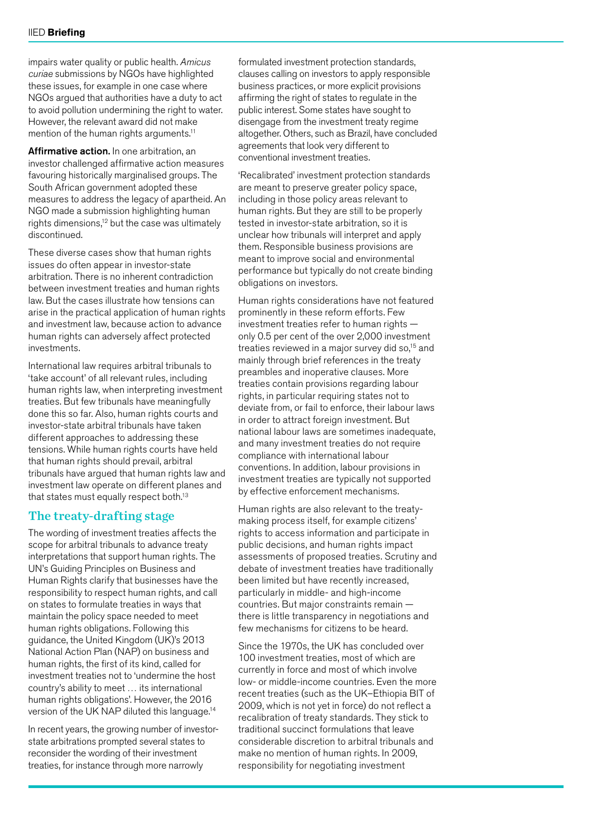impairs water quality or public health. *Amicus curiae* submissions by NGOs have highlighted these issues, for example in one case where NGOs argued that authorities have a duty to act to avoid pollution undermining the right to water. However, the relevant award did not make mention of the human rights arguments.<sup>11</sup>

Affirmative action. In one arbitration, an investor challenged affirmative action measures favouring historically marginalised groups. The South African government adopted these measures to address the legacy of apartheid. An NGO made a submission highlighting human rights dimensions, $12$  but the case was ultimately discontinued.

These diverse cases show that human rights issues do often appear in investor-state arbitration. There is no inherent contradiction between investment treaties and human rights law. But the cases illustrate how tensions can arise in the practical application of human rights and investment law, because action to advance human rights can adversely affect protected investments.

International law requires arbitral tribunals to 'take account' of all relevant rules, including human rights law, when interpreting investment treaties. But few tribunals have meaningfully done this so far. Also, human rights courts and investor-state arbitral tribunals have taken different approaches to addressing these tensions. While human rights courts have held that human rights should prevail, arbitral tribunals have argued that human rights law and investment law operate on different planes and that states must equally respect both.<sup>13</sup>

#### The treaty-drafting stage

The wording of investment treaties affects the scope for arbitral tribunals to advance treaty interpretations that support human rights. The UN's Guiding Principles on Business and Human Rights clarify that businesses have the responsibility to respect human rights, and call on states to formulate treaties in ways that maintain the policy space needed to meet human rights obligations. Following this guidance, the United Kingdom (UK)'s 2013 National Action Plan (NAP) on business and human rights, the first of its kind, called for investment treaties not to 'undermine the host country's ability to meet … its international human rights obligations'. However, the 2016 version of the UK NAP diluted this language.14

In recent years, the growing number of investorstate arbitrations prompted several states to reconsider the wording of their investment treaties, for instance through more narrowly

formulated investment protection standards, clauses calling on investors to apply responsible business practices, or more explicit provisions affirming the right of states to regulate in the public interest. Some states have sought to disengage from the investment treaty regime altogether. Others, such as Brazil, have concluded agreements that look very different to conventional investment treaties.

'Recalibrated' investment protection standards are meant to preserve greater policy space, including in those policy areas relevant to human rights. But they are still to be properly tested in investor-state arbitration, so it is unclear how tribunals will interpret and apply them. Responsible business provisions are meant to improve social and environmental performance but typically do not create binding obligations on investors.

Human rights considerations have not featured prominently in these reform efforts. Few investment treaties refer to human rights only 0.5 per cent of the over 2,000 investment treaties reviewed in a major survey did so,<sup>15</sup> and mainly through brief references in the treaty preambles and inoperative clauses. More treaties contain provisions regarding labour rights, in particular requiring states not to deviate from, or fail to enforce, their labour laws in order to attract foreign investment. But national labour laws are sometimes inadequate, and many investment treaties do not require compliance with international labour conventions. In addition, labour provisions in investment treaties are typically not supported by effective enforcement mechanisms.

Human rights are also relevant to the treatymaking process itself, for example citizens' rights to access information and participate in public decisions, and human rights impact assessments of proposed treaties. Scrutiny and debate of investment treaties have traditionally been limited but have recently increased, particularly in middle- and high-income countries. But major constraints remain there is little transparency in negotiations and few mechanisms for citizens to be heard.

Since the 1970s, the UK has concluded over 100 investment treaties, most of which are currently in force and most of which involve low- or middle-income countries. Even the more recent treaties (such as the UK–Ethiopia BIT of 2009, which is not yet in force) do not reflect a recalibration of treaty standards. They stick to traditional succinct formulations that leave considerable discretion to arbitral tribunals and make no mention of human rights. In 2009, responsibility for negotiating investment